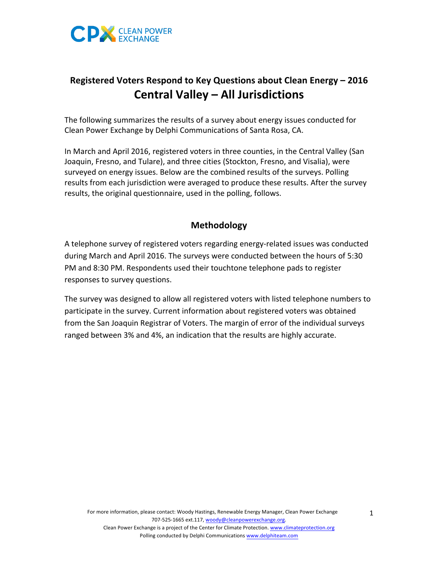

# **Registered Voters Respond to Key Questions about Clean Energy – 2016 Central Valley – All Jurisdictions**

The following summarizes the results of a survey about energy issues conducted for Clean Power Exchange by Delphi Communications of Santa Rosa, CA.

In March and April 2016, registered voters in three counties, in the Central Valley (San Joaquin, Fresno, and Tulare), and three cities (Stockton, Fresno, and Visalia), were surveyed on energy issues. Below are the combined results of the surveys. Polling results from each jurisdiction were averaged to produce these results. After the survey results, the original questionnaire, used in the polling, follows.

## **Methodology**

A telephone survey of registered voters regarding energy-related issues was conducted during March and April 2016. The surveys were conducted between the hours of 5:30 PM and 8:30 PM. Respondents used their touchtone telephone pads to register responses to survey questions.

The survey was designed to allow all registered voters with listed telephone numbers to participate in the survey. Current information about registered voters was obtained from the San Joaquin Registrar of Voters. The margin of error of the individual surveys ranged between 3% and 4%, an indication that the results are highly accurate.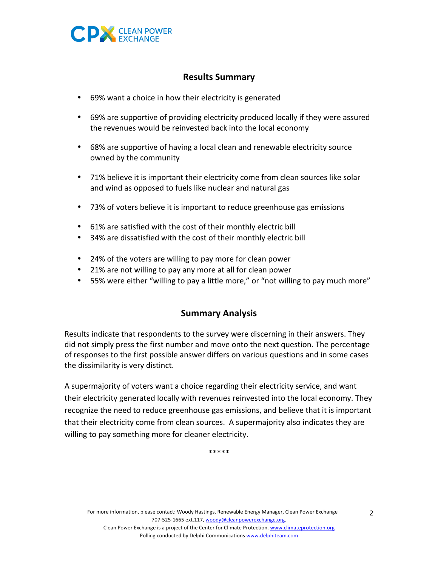

### **Results Summary**

- 69% want a choice in how their electricity is generated
- 69% are supportive of providing electricity produced locally if they were assured the revenues would be reinvested back into the local economy
- 68% are supportive of having a local clean and renewable electricity source owned by the community
- 71% believe it is important their electricity come from clean sources like solar and wind as opposed to fuels like nuclear and natural gas
- 73% of voters believe it is important to reduce greenhouse gas emissions
- 61% are satisfied with the cost of their monthly electric bill
- 34% are dissatisfied with the cost of their monthly electric bill
- 24% of the voters are willing to pay more for clean power
- 21% are not willing to pay any more at all for clean power
- 55% were either "willing to pay a little more," or "not willing to pay much more"

#### **Summary Analysis**

Results indicate that respondents to the survey were discerning in their answers. They did not simply press the first number and move onto the next question. The percentage of responses to the first possible answer differs on various questions and in some cases the dissimilarity is very distinct.

A supermajority of voters want a choice regarding their electricity service, and want their electricity generated locally with revenues reinvested into the local economy. They recognize the need to reduce greenhouse gas emissions, and believe that it is important that their electricity come from clean sources. A supermajority also indicates they are willing to pay something more for cleaner electricity.

\*\*\*\*\*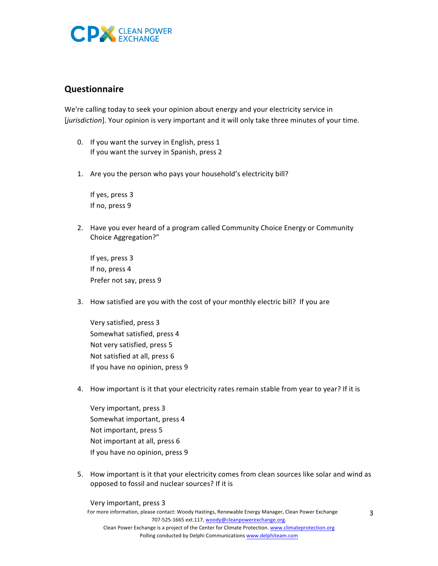

#### **Questionnaire**

We're calling today to seek your opinion about energy and your electricity service in [*jurisdiction*]. Your opinion is very important and it will only take three minutes of your time.

- 0. If you want the survey in English, press 1 If you want the survey in Spanish, press 2
- 1. Are you the person who pays your household's electricity bill?

If yes, press 3 If no, press 9

2. Have you ever heard of a program called Community Choice Energy or Community Choice Aggregation?"

If yes, press 3 If no, press 4 Prefer not say, press 9

3. How satisfied are you with the cost of your monthly electric bill? If you are

Very satisfied, press 3 Somewhat satisfied, press 4 Not very satisfied, press 5 Not satisfied at all, press 6 If you have no opinion, press 9

4. How important is it that your electricity rates remain stable from year to year? If it is

Very important, press 3 Somewhat important, press 4 Not important, press 5 Not important at all, press 6 If you have no opinion, press 9

5. How important is it that your electricity comes from clean sources like solar and wind as opposed to fossil and nuclear sources? If it is

Very important, press 3

For more information, please contact: Woody Hastings, Renewable Energy Manager, Clean Power Exchange 707-525-1665 ext.117, woody@cleanpowerexchange.org. Clean Power Exchange is a project of the Center for Climate Protection. www.climateprotection.org Polling conducted by Delphi Communications www.delphiteam.com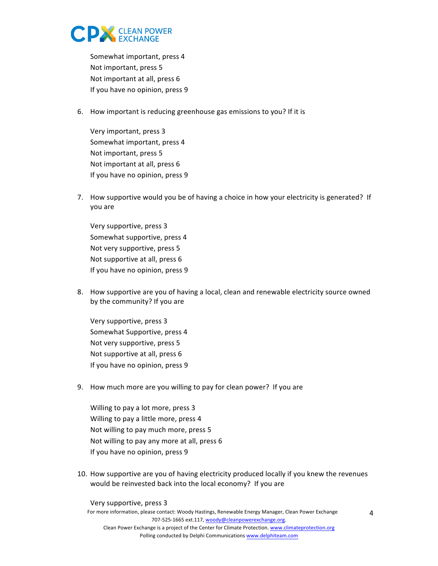

Somewhat important, press 4 Not important, press 5 Not important at all, press 6 If you have no opinion, press 9

6. How important is reducing greenhouse gas emissions to you? If it is

Very important, press 3 Somewhat important, press 4 Not important, press 5 Not important at all, press 6 If you have no opinion, press 9

7. How supportive would you be of having a choice in how your electricity is generated? If you are

Very supportive, press 3 Somewhat supportive, press 4 Not very supportive, press 5 Not supportive at all, press 6 If you have no opinion, press 9

8. How supportive are you of having a local, clean and renewable electricity source owned by the community? If you are

Very supportive, press 3 Somewhat Supportive, press 4 Not very supportive, press 5 Not supportive at all, press 6 If you have no opinion, press 9

9. How much more are you willing to pay for clean power? If you are

Willing to pay a lot more, press 3 Willing to pay a little more, press 4 Not willing to pay much more, press 5 Not willing to pay any more at all, press 6 If you have no opinion, press 9

10. How supportive are you of having electricity produced locally if you knew the revenues would be reinvested back into the local economy? If you are

Very supportive, press 3

For more information, please contact: Woody Hastings, Renewable Energy Manager, Clean Power Exchange 707-525-1665 ext.117, woody@cleanpowerexchange.org. Clean Power Exchange is a project of the Center for Climate Protection. www.climateprotection.org Polling conducted by Delphi Communications www.delphiteam.com